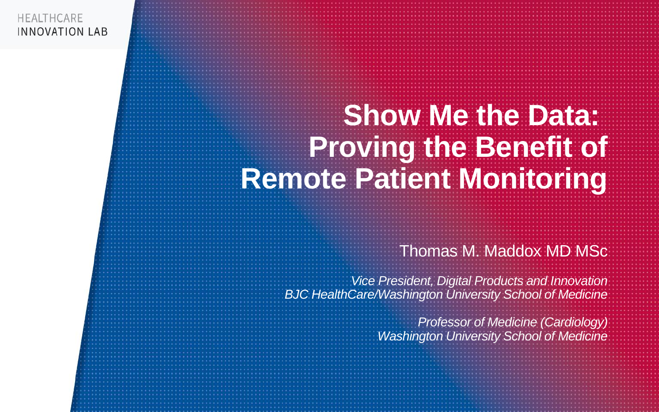# **Show Me the Data: Proving the Benefit of Remote Patient Monitoring**

### Thomas M. Maddox MD MSc

*Vice President, Digital Products and Innovation BJC HealthCare/Washington University School of Medicine*

> *Professor of Medicine (Cardiology) Washington University School of Medicine*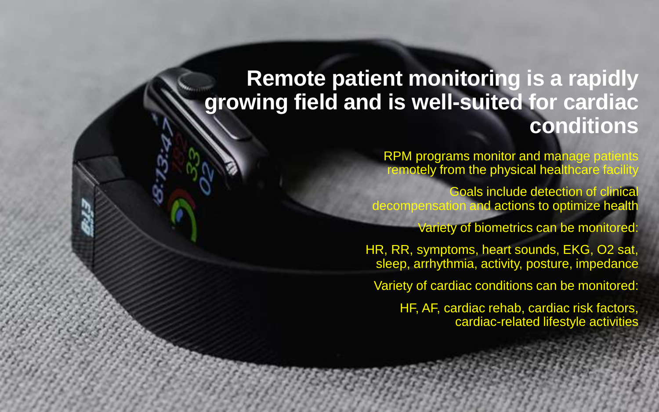### **Remote patient monitoring is a rapidly growing field and is well-suited for cardiac conditions**

RPM programs monitor and manage patients remotely from the physical healthcare facility

Goals include detection of clinical decompensation and actions to optimize health

Variety of biometrics can be monitored:

HR, RR, symptoms, heart sounds, EKG, O2 sat, sleep, arrhythmia, activity, posture, impedance

Variety of cardiac conditions can be monitored:

HF, AF, cardiac rehab, cardiac risk factors, cardiac-related lifestyle activities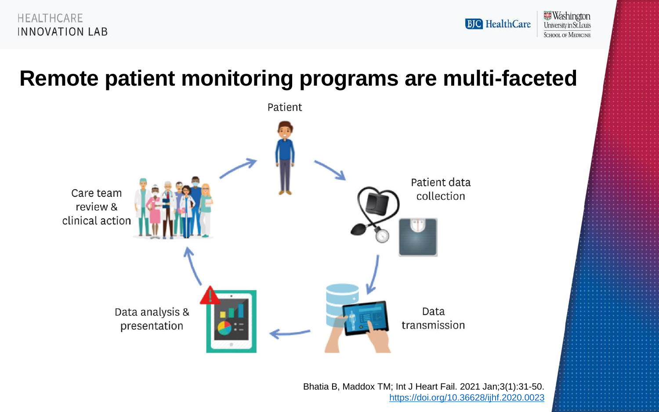



### **Remote patient monitoring programs are multi-faceted**



Bhatia B, Maddox TM; Int J Heart Fail. 2021 Jan;3(1):31-50. <https://doi.org/10.36628/ijhf.2020.0023>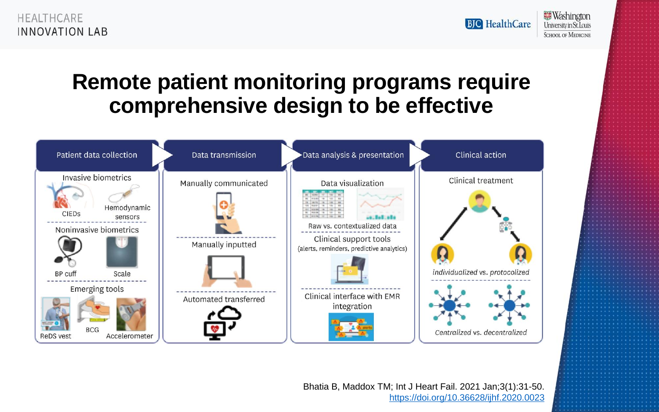**Washington BJC** HealthCare University in St. Louis **SCHOOL OF MEDICINE** 

### **Remote patient monitoring programs require comprehensive design to be effective**

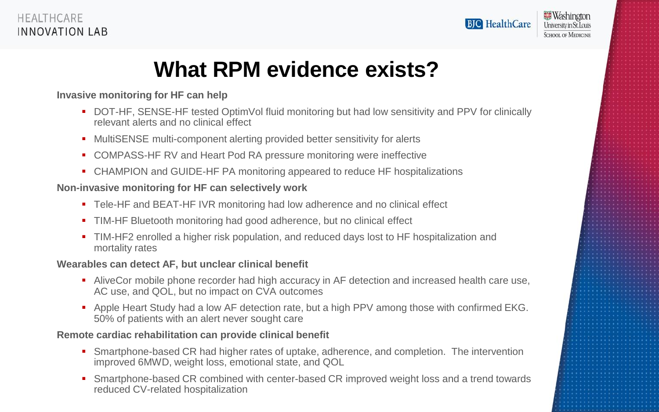

**Washington University in St. Louis SCHOOL OF MEDICINE** 

### **What RPM evidence exists?**

#### **Invasive monitoring for HF can help**

- DOT-HF, SENSE-HF tested OptimVol fluid monitoring but had low sensitivity and PPV for clinically relevant alerts and no clinical effect
- MultiSENSE multi-component alerting provided better sensitivity for alerts
- COMPASS-HF RV and Heart Pod RA pressure monitoring were ineffective
- CHAMPION and GUIDE-HF PA monitoring appeared to reduce HF hospitalizations

#### **Non-invasive monitoring for HF can selectively work**

- Tele-HF and BEAT-HF IVR monitoring had low adherence and no clinical effect
- TIM-HF Bluetooth monitoring had good adherence, but no clinical effect
- TIM-HF2 enrolled a higher risk population, and reduced days lost to HF hospitalization and mortality rates

#### **Wearables can detect AF, but unclear clinical benefit**

- AliveCor mobile phone recorder had high accuracy in AF detection and increased health care use, AC use, and QOL, but no impact on CVA outcomes
- Apple Heart Study had a low AF detection rate, but a high PPV among those with confirmed EKG. 50% of patients with an alert never sought care

#### **Remote cardiac rehabilitation can provide clinical benefit**

- Smartphone-based CR had higher rates of uptake, adherence, and completion. The intervention improved 6MWD, weight loss, emotional state, and QOL
- Smartphone-based CR combined with center-based CR improved weight loss and a trend towards reduced CV-related hospitalization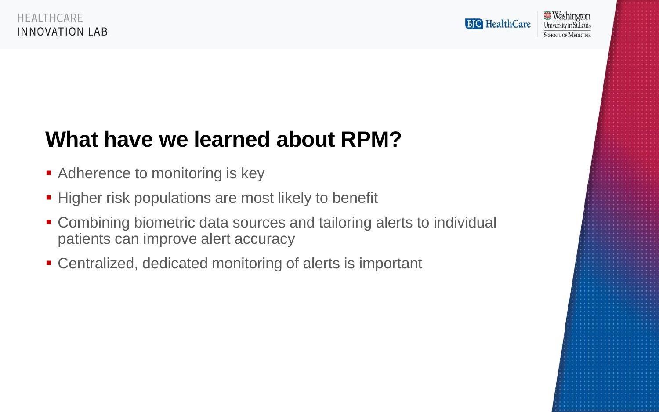**BJC** HealthCare

## **What have we learned about RPM?**

- Adherence to monitoring is key
- **Higher risk populations are most likely to benefit**
- Combining biometric data sources and tailoring alerts to individual patients can improve alert accuracy
- Centralized, dedicated monitoring of alerts is important